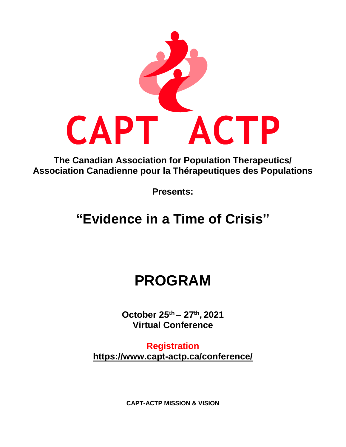

**The Canadian Association for Population Therapeutics/ Association Canadienne pour la Thérapeutiques des Populations**

**Presents:**

# **"Evidence in a Time of Crisis"**

# **PROGRAM**

**October 25 th – 27 th , 2021 Virtual Conference**

**Registration <https://www.capt-actp.ca/conference/>**

**CAPT-ACTP MISSION & VISION**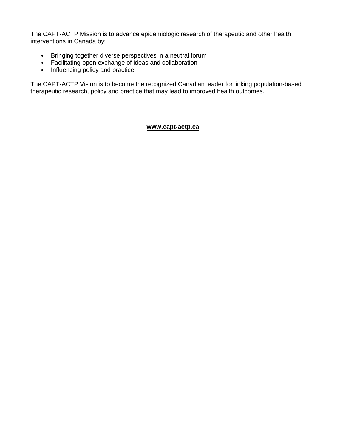The CAPT-ACTP Mission is to advance epidemiologic research of therapeutic and other health interventions in Canada by:

- Bringing together diverse perspectives in a neutral forum
- Facilitating open exchange of ideas and collaboration
- Influencing policy and practice

The CAPT-ACTP Vision is to become the recognized Canadian leader for linking population-based therapeutic research, policy and practice that may lead to improved health outcomes.

### **[www.capt-actp.ca](http://www.capt-actp.ca/)**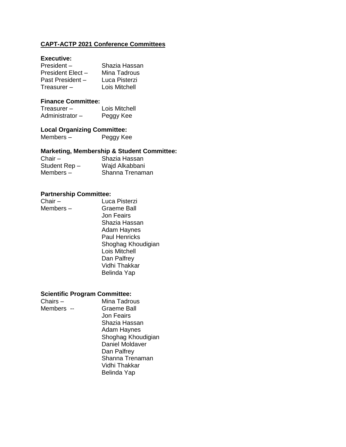# **CAPT-ACTP 2021 Conference Committees**

#### **Executive:**

| Shazia Hassan |
|---------------|
| Mina Tadrous  |
| Luca Pisterzi |
| Lois Mitchell |
|               |

# **Finance Committee:**

| Treasurer $-$   | Lois Mitchell |
|-----------------|---------------|
| Administrator – | Peggy Kee     |

# **Local Organizing Committee:**

Peggy Kee

# **Marketing, Membership & Student Committee:**

| Chair $-$     | Shazia Hassan   |
|---------------|-----------------|
| Student Rep - | Wajd Alkabbani  |
| Members –     | Shanna Trenaman |

#### **Partnership Committee:**

| Chair $-$ | Luca Pisterzi      |
|-----------|--------------------|
| Members - | <b>Graeme Ball</b> |

Luca Pisterzi Jon Feairs Shazia Hassan Adam Haynes Paul Henricks Shoghag Khoudigian Lois Mitchell Dan Palfrey Vidhi Thakkar Belinda Yap

# **Scientific Program Committee:**

| Chairs $-$ | Mina Tadrous           |
|------------|------------------------|
| Members -- | Graeme Ball            |
|            | Jon Feairs             |
|            | Shazia Hassan          |
|            | <b>Adam Haynes</b>     |
|            | Shoghag Khoudigian     |
|            | <b>Daniel Moldaver</b> |
|            | Dan Palfrey            |
|            | Shanna Trenaman        |
|            | Vidhi Thakkar          |
|            | Belinda Yap            |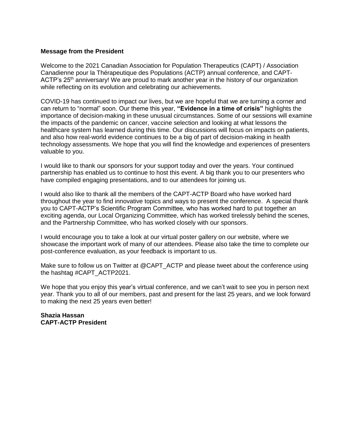#### **Message from the President**

Welcome to the 2021 Canadian Association for Population Therapeutics (CAPT) / Association Canadienne pour la Thérapeutique des Populations (ACTP) annual conference, and CAPT-ACTP's  $25<sup>th</sup>$  anniversary! We are proud to mark another year in the history of our organization while reflecting on its evolution and celebrating our achievements.

COVID-19 has continued to impact our lives, but we are hopeful that we are turning a corner and can return to "normal" soon. Our theme this year, **"Evidence in a time of crisis"** highlights the importance of decision-making in these unusual circumstances. Some of our sessions will examine the impacts of the pandemic on cancer, vaccine selection and looking at what lessons the healthcare system has learned during this time. Our discussions will focus on impacts on patients, and also how real-world evidence continues to be a big of part of decision-making in health technology assessments. We hope that you will find the knowledge and experiences of presenters valuable to you.

I would like to thank our sponsors for your support today and over the years. Your continued partnership has enabled us to continue to host this event. A big thank you to our presenters who have compiled engaging presentations, and to our attendees for joining us.

I would also like to thank all the members of the CAPT-ACTP Board who have worked hard throughout the year to find innovative topics and ways to present the conference. A special thank you to CAPT-ACTP's Scientific Program Committee, who has worked hard to put together an exciting agenda, our Local Organizing Committee, which has worked tirelessly behind the scenes, and the Partnership Committee, who has worked closely with our sponsors.

I would encourage you to take a look at our virtual poster gallery on our website, where we showcase the important work of many of our attendees. Please also take the time to complete our post-conference evaluation, as your feedback is important to us.

Make sure to follow us on Twitter at @CAPT\_ACTP and please tweet about the conference using the hashtag #CAPT\_ACTP2021.

We hope that you enjoy this year's virtual conference, and we can't wait to see you in person next year. Thank you to all of our members, past and present for the last 25 years, and we look forward to making the next 25 years even better!

**Shazia Hassan CAPT-ACTP President**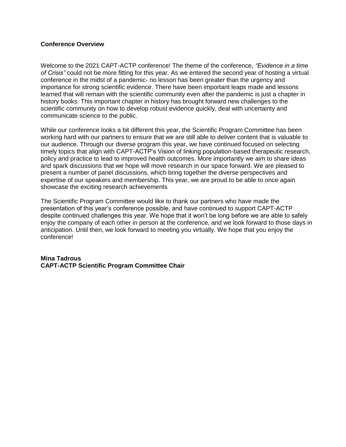### **Conference Overview**

Welcome to the 2021 CAPT-ACTP conference! The theme of the conference, *"Evidence in a time of Crisis"* could not be more fitting for this year. As we entered the second year of hosting a virtual conference in the midst of a pandemic- no lesson has been greater than the urgency and importance for strong scientific evidence. There have been important leaps made and lessons learned that will remain with the scientific community even after the pandemic is just a chapter in history books. This important chapter in history has brought forward new challenges to the scientific community on how to develop robust evidence quickly, deal with uncertainty and communicate science to the public.

While our conference looks a bit different this year, the Scientific Program Committee has been working hard with our partners to ensure that we are still able to deliver content that is valuable to our audience. Through our diverse program this year, we have continued focused on selecting timely topics that align with CAPT-ACTP's Vision of linking population-based therapeutic research, policy and practice to lead to improved health outcomes. More importantly we aim to share ideas and spark discussions that we hope will move research in our space forward. We are pleased to present a number of panel discussions, which bring together the diverse perspectives and expertise of our speakers and membership. This year, we are proud to be able to once again showcase the exciting research achievements

The Scientific Program Committee would like to thank our partners who have made the presentation of this year's conference possible, and have continued to support CAPT-ACTP despite continued challenges this year. We hope that it won't be long before we are able to safely enjoy the company of each other in person at the conference, and we look forward to those days in anticipation. Until then, we look forward to meeting you virtually. We hope that you enjoy the conference!

### **Mina Tadrous CAPT-ACTP Scientific Program Committee Chair**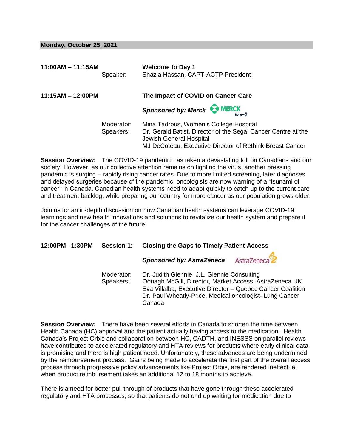#### **Monday, October 25, 2021**

| $11:00AM - 11:15AM$ | Speaker:                | <b>Welcome to Day 1</b><br>Shazia Hassan, CAPT-ACTP President                                                                                                                                  |
|---------------------|-------------------------|------------------------------------------------------------------------------------------------------------------------------------------------------------------------------------------------|
| $11:15AM - 12:00PM$ |                         | The Impact of COVID on Cancer Care                                                                                                                                                             |
|                     |                         | Sponsored by: Merck MERCK<br><b>Re</b> well                                                                                                                                                    |
|                     | Moderator:<br>Speakers: | Mina Tadrous, Women's College Hospital<br>Dr. Gerald Batist, Director of the Segal Cancer Centre at the<br>Jewish General Hospital<br>MJ DeCoteau, Executive Director of Rethink Breast Cancer |

**Session Overview:** The COVID-19 pandemic has taken a devastating toll on Canadians and our society. However, as our collective attention remains on fighting the virus, another pressing pandemic is surging – rapidly rising cancer rates. Due to more limited screening, later diagnoses and delayed surgeries because of the pandemic, oncologists are now warning of a "tsunami of cancer" in Canada. Canadian health systems need to adapt quickly to catch up to the current care and treatment backlog, while preparing our country for more cancer as our population grows older.

Join us for an in-depth discussion on how Canadian health systems can leverage COVID-19 learnings and new health innovations and solutions to revitalize our health system and prepare it for the cancer challenges of the future.

| 12:00PM -1:30PM | <b>Session 1:</b>       | <b>Closing the Gaps to Timely Patient Access</b>                                                                                                                                                                                        |  |
|-----------------|-------------------------|-----------------------------------------------------------------------------------------------------------------------------------------------------------------------------------------------------------------------------------------|--|
|                 |                         | AstraZeneca<br><b>Sponsored by: AstraZeneca</b>                                                                                                                                                                                         |  |
|                 | Moderator:<br>Speakers: | Dr. Judith Glennie, J.L. Glennie Consulting<br>Oonagh McGill, Director, Market Access, AstraZeneca UK<br>Eva Villalba, Executive Director - Quebec Cancer Coalition<br>Dr. Paul Wheatly-Price, Medical oncologist-Lung Cancer<br>Canada |  |

**Session Overview:** There have been several efforts in Canada to shorten the time between Health Canada (HC) approval and the patient actually having access to the medication. Health Canada's Project Orbis and collaboration between HC, CADTH, and INESSS on parallel reviews have contributed to accelerated regulatory and HTA reviews for products where early clinical data is promising and there is high patient need. Unfortunately, these advances are being undermined by the reimbursement process. Gains being made to accelerate the first part of the overall access process through progressive policy advancements like Project Orbis, are rendered ineffectual when product reimbursement takes an additional 12 to 18 months to achieve.

There is a need for better pull through of products that have gone through these accelerated regulatory and HTA processes, so that patients do not end up waiting for medication due to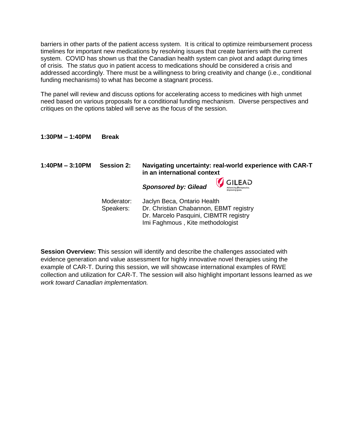barriers in other parts of the patient access system. It is critical to optimize reimbursement process timelines for important new medications by resolving issues that create barriers with the current system. COVID has shown us that the Canadian health system can pivot and adapt during times of crisis. The *status quo* in patient access to medications should be considered a crisis and addressed accordingly. There must be a willingness to bring creativity and change (i.e., conditional funding mechanisms) to what has become a stagnant process.

The panel will review and discuss options for accelerating access to medicines with high unmet need based on various proposals for a conditional funding mechanism. Diverse perspectives and critiques on the options tabled will serve as the focus of the session.

# **1:30PM – 1:40PM Break**

| $1:40PM - 3:10PM$ | <b>Session 2:</b> | Navigating uncertainty: real-world experience with CAR-T<br>in an international context     |
|-------------------|-------------------|---------------------------------------------------------------------------------------------|
|                   |                   | GILEAD<br><b>Sponsored by: Gilead</b><br><b>Advancing Therapeutics.</b><br>Improving Lives. |
|                   | Moderator:        | <u>Iaclyn Raca, Ontario Haalth</u>                                                          |

Moderator: Jaclyn Beca, Ontario Health Speakers: Dr. Christian Chabannon, EBMT registry Dr. Marcelo Pasquini, CIBMTR registry Imi Faghmous , Kite methodologist

**Session Overview: T**his session will identify and describe the challenges associated with evidence generation and value assessment for highly innovative novel therapies using the example of CAR-T. During this session, we will showcase international examples of RWE collection and utilization for CAR-T. The session will also highlight important lessons learned as *we work toward Canadian implementation.*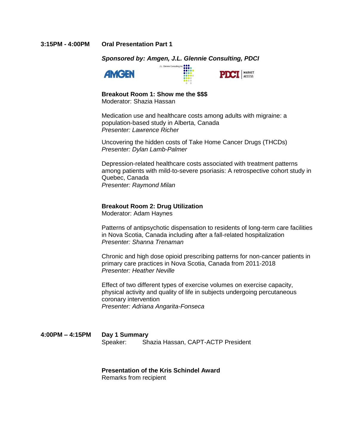#### **3:15PM - 4:00PM Oral Presentation Part 1**

#### *Sponsored by: Amgen, J.L. Glennie Consulting, PDCI*

J.L. Glennie Consulting Inc.  $\begin{array}{c}\n\bullet \\
\bullet \\
\bullet \\
\bullet\n\end{array}$ 





#### **Breakout Room 1: Show me the \$\$\$**

Moderator: Shazia Hassan

Medication use and healthcare costs among adults with migraine: a population-based study in Alberta, Canada *Presenter: Lawrence Richer*

Uncovering the hidden costs of Take Home Cancer Drugs (THCDs) *Presenter: Dylan Lamb-Palmer*

Depression-related healthcare costs associated with treatment patterns among patients with mild-to-severe psoriasis: A retrospective cohort study in Quebec, Canada *Presenter: Raymond Milan*

### **Breakout Room 2: Drug Utilization**

Moderator: Adam Haynes

Patterns of antipsychotic dispensation to residents of long-term care facilities in Nova Scotia, Canada including after a fall-related hospitalization *Presenter: Shanna Trenaman*

Chronic and high dose opioid prescribing patterns for non-cancer patients in primary care practices in Nova Scotia, Canada from 2011-2018 *Presenter: Heather Neville* 

Effect of two different types of exercise volumes on exercise capacity, physical activity and quality of life in subjects undergoing percutaneous coronary intervention *Presenter: Adriana Angarita-Fonseca*

**4:00PM – 4:15PM Day 1 Summary** Speaker: Shazia Hassan, CAPT-ACTP President

#### **Presentation of the Kris Schindel Award**

Remarks from recipient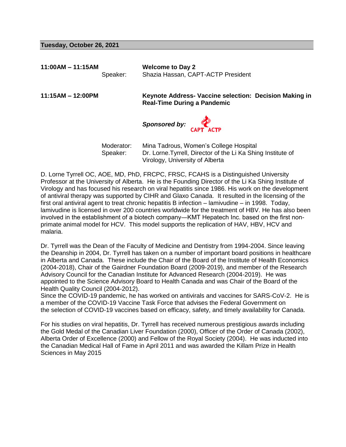#### **Tuesday, October 26, 2021**

**11:00AM – 11:15AM Welcome to Day 2** Speaker: Shazia Hassan, CAPT-ACTP President

**11:15AM – 12:00PM Keynote Address- Vaccine selection: Decision Making in Real-Time During a Pandemic**

*Sponsored by:*

Moderator: Mina Tadrous, Women's College Hospital Speaker: Dr. Lorne.Tyrrell, Director of the Li Ka Shing Institute of Virology, University of Alberta

D. Lorne Tyrrell OC, AOE, MD, PhD, FRCPC, FRSC, FCAHS is a Distinguished University Professor at the University of Alberta. He is the Founding Director of the Li Ka Shing Institute of Virology and has focused his research on viral hepatitis since 1986. His work on the development of antiviral therapy was supported by CIHR and Glaxo Canada. It resulted in the licensing of the first oral antiviral agent to treat chronic hepatitis B infection – lamivudine – in 1998. Today, lamivudine is licensed in over 200 countries worldwide for the treatment of HBV. He has also been involved in the establishment of a biotech company―KMT Hepatech Inc. based on the first nonprimate animal model for HCV. This model supports the replication of HAV, HBV, HCV and malaria.

Dr. Tyrrell was the Dean of the Faculty of Medicine and Dentistry from 1994-2004. Since leaving the Deanship in 2004, Dr. Tyrrell has taken on a number of important board positions in healthcare in Alberta and Canada. These include the Chair of the Board of the Institute of Health Economics (2004-2018), Chair of the Gairdner Foundation Board (2009-2019), and member of the Research Advisory Council for the Canadian Institute for Advanced Research (2004-2019). He was appointed to the Science Advisory Board to Health Canada and was Chair of the Board of the Health Quality Council (2004-2012).

Since the COVID-19 pandemic, he has worked on antivirals and vaccines for SARS-CoV-2. He is a member of the COVID-19 Vaccine Task Force that advises the Federal Government on the selection of COVID-19 vaccines based on efficacy, safety, and timely availability for Canada.

For his studies on viral hepatitis, Dr. Tyrrell has received numerous prestigious awards including the Gold Medal of the Canadian Liver Foundation (2000), Officer of the Order of Canada (2002), Alberta Order of Excellence (2000) and Fellow of the Royal Society (2004). He was inducted into the Canadian Medical Hall of Fame in April 2011 and was awarded the Killam Prize in Health Sciences in May 2015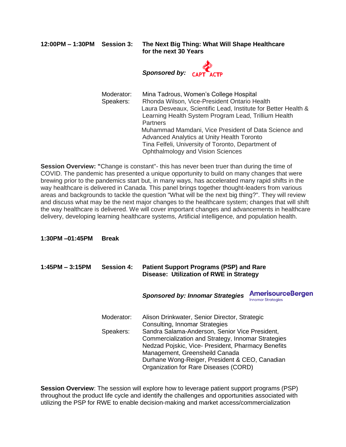**12:00PM – 1:30PM Session 3: The Next Big Thing: What Will Shape Healthcare for the next 30 Years** 



Moderator: Mina Tadrous, Women's College Hospital Speakers: Rhonda Wilson, Vice-President Ontario Health Laura Desveaux, Scientific Lead, Institute for Better Health & Learning Health System Program Lead, Trillium Health Partners Muhammad Mamdani, Vice President of Data Science and Advanced Analytics at Unity Health Toronto Tina Felfeli, University of Toronto, Department of Ophthalmology and Vision Sciences

**Session Overview: "**Change is constant"- this has never been truer than during the time of COVID. The pandemic has presented a unique opportunity to build on many changes that were brewing prior to the pandemics start but, in many ways, has accelerated many rapid shifts in the way healthcare is delivered in Canada. This panel brings together thought-leaders from various areas and backgrounds to tackle the question "What will be the next big thing?". They will review and discuss what may be the next major changes to the healthcare system; changes that will shift the way healthcare is delivered. We will cover important changes and advancements in healthcare delivery, developing learning healthcare systems, Artificial intelligence, and population health.

**1:30PM –01:45PM Break** 

**1:45PM – 3:15PM Session 4: Patient Support Programs (PSP) and Rare Disease: Utilization of RWE in Strategy** *Sponsored by: Innomar Strategies* 

> Moderator: Alison Drinkwater, Senior Director, Strategic Consulting, Innomar Strategies Speakers: Sandra Salama-Anderson, Senior Vice President, Commercialization and Strategy, Innomar Strategies Nedzad Pojskic, Vice- President, Pharmacy Benefits Management, Greensheild Canada Durhane Wong-Reiger, President & CEO, Canadian Organization for Rare Diseases (CORD)

**Session Overview**: The session will explore how to leverage patient support programs (PSP) throughout the product life cycle and identify the challenges and opportunities associated with utilizing the PSP for RWE to enable decision-making and market access/commercialization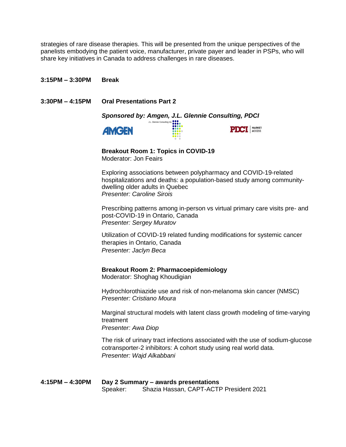strategies of rare disease therapies. This will be presented from the unique perspectives of the panelists embodying the patient voice, manufacturer, private payer and leader in PSPs, who will share key initiatives in Canada to address challenges in rare diseases.

**3:15PM – 3:30PM Break**

**3:30PM – 4:15PM Oral Presentations Part 2** 







**Breakout Room 1: Topics in COVID-19** Moderator: Jon Feairs

Exploring associations between polypharmacy and COVID-19-related hospitalizations and deaths: a population-based study among communitydwelling older adults in Quebec *Presenter: Caroline Sirois*

Prescribing patterns among in-person vs virtual primary care visits pre- and post-COVID-19 in Ontario, Canada *Presenter: Sergey Muratov*

Utilization of COVID-19 related funding modifications for systemic cancer therapies in Ontario, Canada *Presenter: Jaclyn Beca*

**Breakout Room 2: Pharmacoepidemiology** Moderator: Shoghag Khoudigian

Hydrochlorothiazide use and risk of non-melanoma skin cancer (NMSC) *Presenter: Cristiano Moura*

Marginal structural models with latent class growth modeling of time-varying treatment *Presenter: Awa Diop* 

The risk of urinary tract infections associated with the use of sodium-glucose cotransporter-2 inhibitors: A cohort study using real world data. *Presenter: Wajd Alkabbani*

**4:15PM – 4:30PM Day 2 Summary – awards presentations** Speaker: Shazia Hassan, CAPT-ACTP President 2021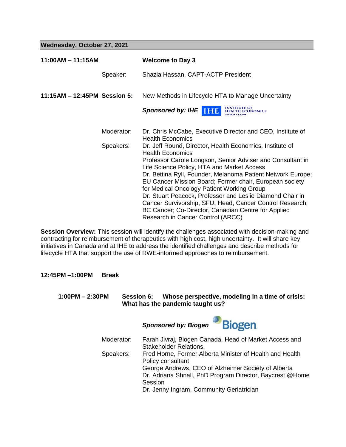**Wednesday, October 27, 2021**

| $11:00AM - 11:15AM$          |            | <b>Welcome to Day 3</b>                                                                                                |
|------------------------------|------------|------------------------------------------------------------------------------------------------------------------------|
|                              | Speaker:   | Shazia Hassan, CAPT-ACTP President                                                                                     |
| 11:15AM - 12:45PM Session 5: |            | New Methods in Lifecycle HTA to Manage Uncertainty                                                                     |
|                              |            | <b>INSTITUTE OF</b><br>Sponsored by: IHE <b>THE</b><br><b>HEALTH ECONOMICS</b><br>LBERTA CANADA                        |
|                              | Moderator: | Dr. Chris McCabe, Executive Director and CEO, Institute of<br><b>Health Economics</b>                                  |
|                              | Speakers:  | Dr. Jeff Round, Director, Health Economics, Institute of<br><b>Health Economics</b>                                    |
|                              |            | Professor Carole Longson, Senior Adviser and Consultant in<br>Life Science Policy, HTA and Market Access               |
|                              |            | Dr. Bettina Ryll, Founder, Melanoma Patient Network Europe;<br>EU Cancer Mission Board; Former chair, European society |
|                              |            | for Medical Oncology Patient Working Group                                                                             |
|                              |            | Dr. Stuart Peacock, Professor and Leslie Diamond Chair in                                                              |
|                              |            | Cancer Survivorship, SFU; Head, Cancer Control Research,<br>BC Cancer; Co-Director, Canadian Centre for Applied        |
|                              |            | Research in Cancer Control (ARCC)                                                                                      |

**Session Overview:** This session will identify the challenges associated with decision-making and contracting for reimbursement of therapeutics with high cost, high uncertainty. It will share key initiatives in Canada and at IHE to address the identified challenges and describe methods for lifecycle HTA that support the use of RWE-informed approaches to reimbursement.

**12:45PM –1:00PM Break** 

**1:00PM – 2:30PM Session 6: Whose perspective, modeling in a time of crisis: What has the pandemic taught us?**

> **Biogen** *Sponsored by: Biogen* Moderator: Farah Jivraj, Biogen Canada, Head of Market Access and Stakeholder Relations. Speakers: Fred Horne, Former Alberta Minister of Health and Health Policy consultant George Andrews, CEO of Alzheimer Society of Alberta Dr. Adriana Shnall, PhD Program Director, Baycrest @Home **Session** Dr. Jenny Ingram, Community Geriatrician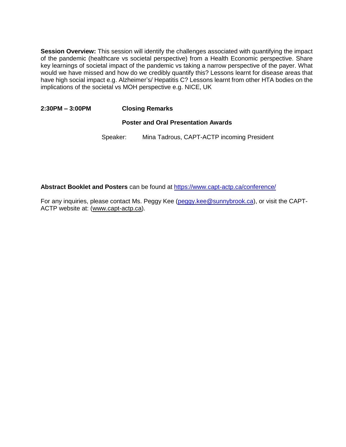**Session Overview:** This session will identify the challenges associated with quantifying the impact of the pandemic (healthcare vs societal perspective) from a Health Economic perspective. Share key learnings of societal impact of the pandemic vs taking a narrow perspective of the payer. What would we have missed and how do we credibly quantify this? Lessons learnt for disease areas that have high social impact e.g. Alzheimer's/ Hepatitis C? Lessons learnt from other HTA bodies on the implications of the societal vs MOH perspective e.g. NICE, UK

# **2:30PM – 3:00PM Closing Remarks**

# **Poster and Oral Presentation Awards**

Speaker: Mina Tadrous, CAPT-ACTP incoming President

**Abstract Booklet and Posters** can be found at<https://www.capt-actp.ca/conference/>

For any inquiries, please contact Ms. Peggy Kee [\(peggy.kee@sunnybrook.ca\)](mailto:peggy.kee@sunnybrook.ca), or visit the CAPT-ACTP website at: [\(www.capt-actp.ca\)](http://www.capt-actp.ca/).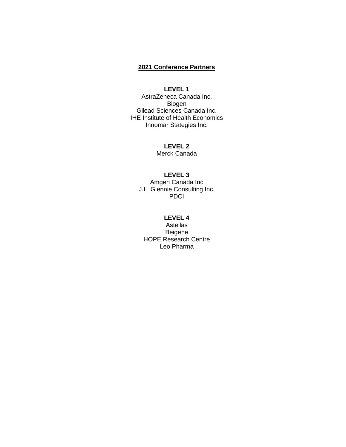# **2021 Conference Partners**

# **LEVEL 1**

AstraZeneca Canada Inc. Biogen Gilead Sciences Canada Inc. IHE Institute of Health Economics Innomar Stategies Inc.

> **LEVEL 2** Merck Canada

# **LEVEL 3**

Amgen Canada Inc J.L. Glennie Consulting Inc. **PDCI** 

# **LEVEL 4**

Astellas Beigene HOPE Research Centre Leo Pharma